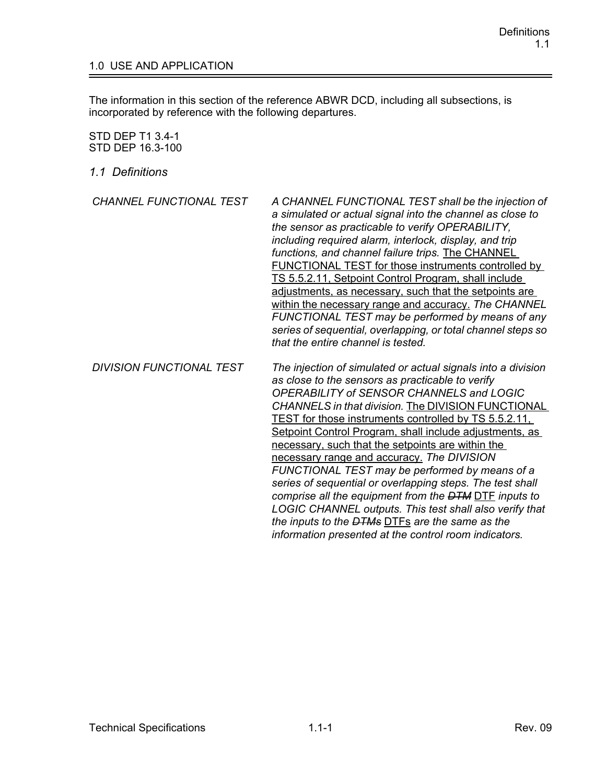## 1.0 USE AND APPLICATION

The information in this section of the reference ABWR DCD, including all subsections, is incorporated by reference with the following departures.

## STD DEP T1 3.4-1 STD DEP 16.3-100

*1.1 Definitions*

| CHANNEL FUNCTIONAL TEST         | A CHANNEL FUNCTIONAL TEST shall be the injection of<br>a simulated or actual signal into the channel as close to<br>the sensor as practicable to verify OPERABILITY,<br>including required alarm, interlock, display, and trip<br>functions, and channel failure trips. The CHANNEL<br>FUNCTIONAL TEST for those instruments controlled by<br>TS 5.5.2.11. Setpoint Control Program, shall include<br>adjustments, as necessary, such that the setpoints are<br>within the necessary range and accuracy. The CHANNEL<br>FUNCTIONAL TEST may be performed by means of any<br>series of sequential, overlapping, or total channel steps so<br>that the entire channel is tested. |
|---------------------------------|--------------------------------------------------------------------------------------------------------------------------------------------------------------------------------------------------------------------------------------------------------------------------------------------------------------------------------------------------------------------------------------------------------------------------------------------------------------------------------------------------------------------------------------------------------------------------------------------------------------------------------------------------------------------------------|
| <b>DIVISION FUNCTIONAL TEST</b> | The injection of simulated or actual signals into a division<br>as close to the sensors as practicable to verify<br>OPERABILITY of SENSOR CHANNELS and LOGIC<br><b>CHANNELS in that division. The DIVISION FUNCTIONAL</b>                                                                                                                                                                                                                                                                                                                                                                                                                                                      |

TEST for those instruments controlled by TS 5.5.2.11, Setpoint Control Program, shall include adjustments, as

*FUNCTIONAL TEST may be performed by means of a series of sequential or overlapping steps. The test shall comprise all the equipment from the DTM* DTF *inputs to LOGIC CHANNEL outputs. This test shall also verify that* 

necessary, such that the setpoints are within the necessary range and accuracy. *The DIVISION* 

*the inputs to the DTMs* DTFs *are the same as the information presented at the control room indicators.*